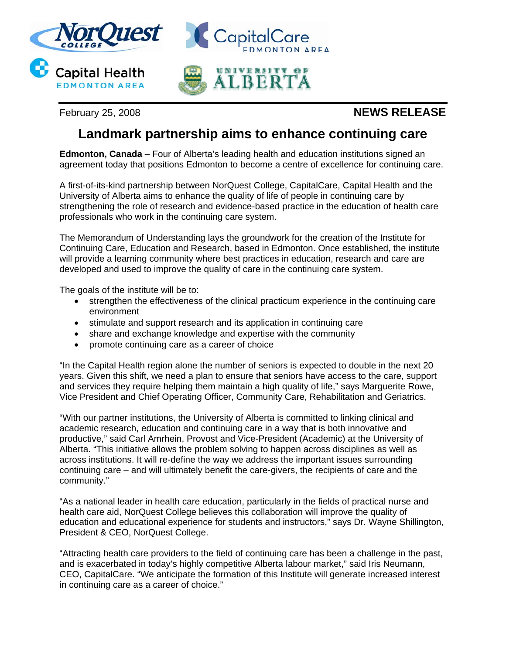

February 25, 2008 **NEWS RELEASE**

## **Landmark partnership aims to enhance continuing care**

**Edmonton, Canada** – Four of Alberta's leading health and education institutions signed an agreement today that positions Edmonton to become a centre of excellence for continuing care.

A first-of-its-kind partnership between NorQuest College, CapitalCare, Capital Health and the University of Alberta aims to enhance the quality of life of people in continuing care by strengthening the role of research and evidence-based practice in the education of health care professionals who work in the continuing care system.

The Memorandum of Understanding lays the groundwork for the creation of the Institute for Continuing Care, Education and Research, based in Edmonton. Once established, the institute will provide a learning community where best practices in education, research and care are developed and used to improve the quality of care in the continuing care system.

The goals of the institute will be to:

- strengthen the effectiveness of the clinical practicum experience in the continuing care environment
- stimulate and support research and its application in continuing care
- share and exchange knowledge and expertise with the community
- promote continuing care as a career of choice

"In the Capital Health region alone the number of seniors is expected to double in the next 20 years. Given this shift, we need a plan to ensure that seniors have access to the care, support and services they require helping them maintain a high quality of life," says Marguerite Rowe, Vice President and Chief Operating Officer, Community Care, Rehabilitation and Geriatrics.

"With our partner institutions, the University of Alberta is committed to linking clinical and academic research, education and continuing care in a way that is both innovative and productive," said Carl Amrhein, Provost and Vice-President (Academic) at the University of Alberta. "This initiative allows the problem solving to happen across disciplines as well as across institutions. It will re-define the way we address the important issues surrounding continuing care – and will ultimately benefit the care-givers, the recipients of care and the community."

"As a national leader in health care education, particularly in the fields of practical nurse and health care aid, NorQuest College believes this collaboration will improve the quality of education and educational experience for students and instructors," says Dr. Wayne Shillington, President & CEO, NorQuest College.

"Attracting health care providers to the field of continuing care has been a challenge in the past, and is exacerbated in today's highly competitive Alberta labour market," said Iris Neumann, CEO, CapitalCare. "We anticipate the formation of this Institute will generate increased interest in continuing care as a career of choice."